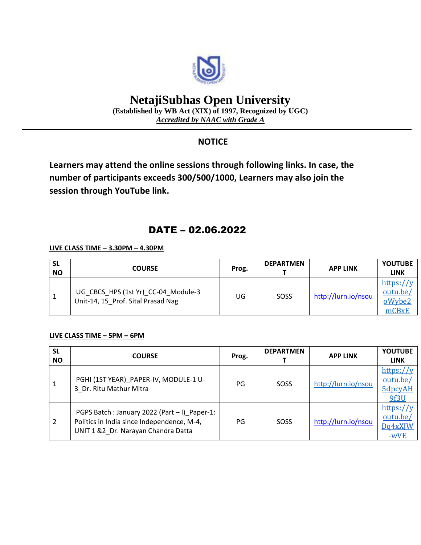

# **NetajiSubhas Open University**

**(Established by WB Act (XIX) of 1997, Recognized by UGC)** *Accredited by NAAC with Grade A*

### **NOTICE**

**Learners may attend the online sessions through following links. In case, the number of participants exceeds 300/500/1000, Learners may also join the session through YouTube link.**

## DATE – 02.06.2022

#### **LIVE CLASS TIME – 3.30PM – 4.30PM**

| <b>SL</b><br><b>NO</b> | <b>COURSE</b>                                                             | Prog. | <b>DEPARTMEN</b> | <b>APP LINK</b>     | <b>YOUTUBE</b><br><b>LINK</b>            |
|------------------------|---------------------------------------------------------------------------|-------|------------------|---------------------|------------------------------------------|
|                        | UG CBCS HPS (1st Yr) CC-04 Module-3<br>Unit-14, 15 Prof. Sital Prasad Nag | UG    | SOSS             | http://lurn.io/nsou | https://v<br>outu.be/<br>oWybe2<br>mCBxE |

#### **LIVE CLASS TIME – 5PM – 6PM**

| <b>SL</b><br><b>NO</b> | <b>COURSE</b>                                                                                                                     | Prog. | <b>DEPARTMEN</b> | <b>APP LINK</b>     | <b>YOUTUBE</b><br><b>LINK</b>               |
|------------------------|-----------------------------------------------------------------------------------------------------------------------------------|-------|------------------|---------------------|---------------------------------------------|
| 1                      | PGHI (1ST YEAR) PAPER-IV, MODULE-1 U-<br>3 Dr. Ritu Mathur Mitra                                                                  | PG    | SOSS             | http://lurn.io/nsou | https:// $y$<br>outu.be/<br>5dpcyAH<br>9f3U |
| 2                      | PGPS Batch: January 2022 (Part - I) Paper-1:<br>Politics in India since Independence, M-4,<br>UNIT 1 &2 Dr. Narayan Chandra Datta | PG    | SOSS             | http://lurn.io/nsou | https://y<br>outu.be/<br>Dq4xXJW<br>$-wVE$  |